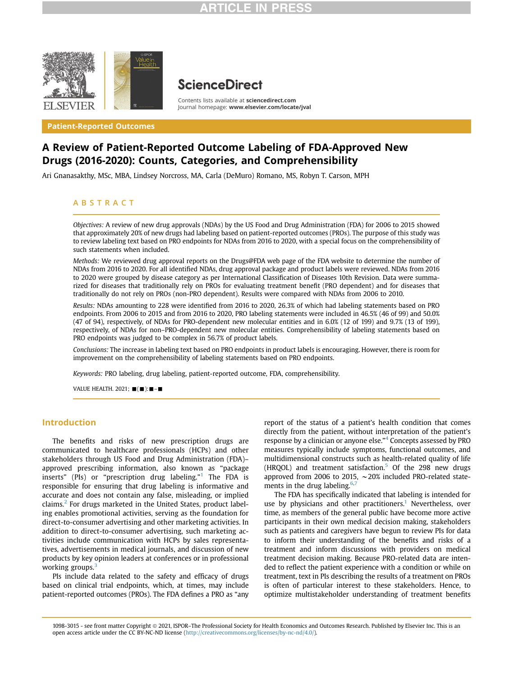

# **ScienceDirect**

Contents lists available at [sciencedirect.com](www.sciencedirect.com) Journal homepage: <www.elsevier.com/locate/jval>

Patient-Reported Outcomes

# A Review of Patient-Reported Outcome Labeling of FDA-Approved New Drugs (2016-2020): Counts, Categories, and Comprehensibility

Ari Gnanasakthy, MSc, MBA, Lindsey Norcross, MA, Carla (DeMuro) Romano, MS, Robyn T. Carson, MPH

## ABSTRACT

Objectives: A review of new drug approvals (NDAs) by the US Food and Drug Administration (FDA) for 2006 to 2015 showed that approximately 20% of new drugs had labeling based on patient-reported outcomes (PROs). The purpose of this study was to review labeling text based on PRO endpoints for NDAs from 2016 to 2020, with a special focus on the comprehensibility of such statements when included.

Methods: We reviewed drug approval reports on the Drugs@FDA web page of the FDA website to determine the number of NDAs from 2016 to 2020. For all identified NDAs, drug approval package and product labels were reviewed. NDAs from 2016 to 2020 were grouped by disease category as per International Classification of Diseases 10th Revision. Data were summarized for diseases that traditionally rely on PROs for evaluating treatment benefit (PRO dependent) and for diseases that traditionally do not rely on PROs (non-PRO dependent). Results were compared with NDAs from 2006 to 2010.

Results: NDAs amounting to 228 were identified from 2016 to 2020, 26.3% of which had labeling statements based on PRO endpoints. From 2006 to 2015 and from 2016 to 2020, PRO labeling statements were included in 46.5% (46 of 99) and 50.0% (47 of 94), respectively, of NDAs for PRO-dependent new molecular entities and in 6.0% (12 of 199) and 9.7% (13 of 199), respectively, of NDAs for non–PRO-dependent new molecular entities. Comprehensibility of labeling statements based on PRO endpoints was judged to be complex in 56.7% of product labels.

Conclusions: The increase in labeling text based on PRO endpoints in product labels is encouraging. However, there is room for improvement on the comprehensibility of labeling statements based on PRO endpoints.

Keywords: PRO labeling, drug labeling, patient-reported outcome, FDA, comprehensibility.

VALUE HEALTH. 2021;  $(\blacksquare)$ :  $\blacksquare$  - $\blacksquare$ 

# Introduction

The benefits and risks of new prescription drugs are communicated to healthcare professionals (HCPs) and other stakeholders through US Food and Drug Administration (FDA)– approved prescribing information, also known as "package inserts" (PIs) or "prescription drug labeling."<sup>[1](#page-7-0)</sup> The FDA is responsible for ensuring that drug labeling is informative and accurate and does not contain any false, misleading, or implied claims.[2](#page-7-1) For drugs marketed in the United States, product labeling enables promotional activities, serving as the foundation for direct-to-consumer advertising and other marketing activities. In addition to direct-to-consumer advertising, such marketing activities include communication with HCPs by sales representatives, advertisements in medical journals, and discussion of new products by key opinion leaders at conferences or in professional working groups.<sup>[3](#page-7-2)</sup>

PIs include data related to the safety and efficacy of drugs based on clinical trial endpoints, which, at times, may include patient-reported outcomes (PROs). The FDA defines a PRO as "any

report of the status of a patient's health condition that comes directly from the patient, without interpretation of the patient's response by a clinician or anyone else."<sup>[4](#page-7-3)</sup> Concepts assessed by PRO measures typically include symptoms, functional outcomes, and multidimensional constructs such as health-related quality of life (HRQOL) and treatment satisfaction. $5$  Of the 298 new drugs approved from 2006 to 2015,  $\sim$  20% included PRO-related statements in the drug labeling. $6,7$  $6,7$ 

The FDA has specifically indicated that labeling is intended for use by physicians and other practitioners.<sup>1</sup> Nevertheless, over time, as members of the general public have become more active participants in their own medical decision making, stakeholders such as patients and caregivers have begun to review PIs for data to inform their understanding of the benefits and risks of a treatment and inform discussions with providers on medical treatment decision making. Because PRO-related data are intended to reflect the patient experience with a condition or while on treatment, text in PIs describing the results of a treatment on PROs is often of particular interest to these stakeholders. Hence, to optimize multistakeholder understanding of treatment benefits

1098-3015 - see front matter Copyright @ 2021, ISPOR–The Professional Society for Health Economics and Outcomes Research. Published by Elsevier Inc. This is an open access article under the CC BY-NC-ND license [\(http://creativecommons.org/licenses/by-nc-nd/4.0/\)](http://creativecommons.org/licenses/by-nc-nd/4.0/).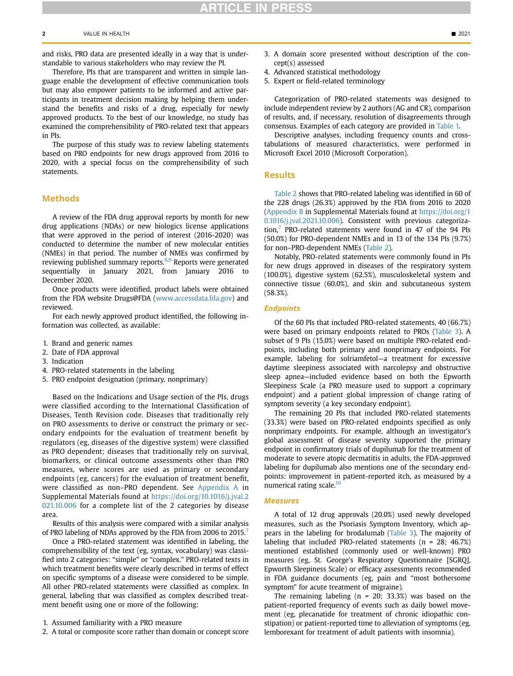and risks, PRO data are presented ideally in a way that is understandable to various stakeholders who may review the PI.

Therefore, PIs that are transparent and written in simple language enable the development of effective communication tools but may also empower patients to be informed and active participants in treatment decision making by helping them understand the benefits and risks of a drug, especially for newly approved products. To the best of our knowledge, no study has examined the comprehensibility of PRO-related text that appears in PIs.

The purpose of this study was to review labeling statements based on PRO endpoints for new drugs approved from 2016 to 2020, with a special focus on the comprehensibility of such statements.

#### Methods

A review of the FDA drug approval reports by month for new drug applications (NDAs) or new biologics license applications that were approved in the period of interest (2016-2020) was conducted to determine the number of new molecular entities (NMEs) in that period. The number of NMEs was confirmed by reviewing published summary reports.<sup>8[,9](#page-7-8)</sup> Reports were generated sequentially in January 2021, from January 2016 to December 2020.

Once products were identified, product labels were obtained from the FDA website Drugs@FDA [\(www.accessdata.fda.gov\)](http://www.accessdata.fda.gov) and reviewed.

For each newly approved product identified, the following information was collected, as available:

- 1. Brand and generic names
- 2. Date of FDA approval
- 3. Indication
- 4. PRO-related statements in the labeling
- 5. PRO endpoint designation (primary, nonprimary)

Based on the Indications and Usage section of the PIs, drugs were classified according to the International Classification of Diseases, Tenth Revision code. Diseases that traditionally rely on PRO assessments to derive or construct the primary or secondary endpoints for the evaluation of treatment benefit by regulators (eg, diseases of the digestive system) were classified as PRO dependent; diseases that traditionally rely on survival, biomarkers, or clinical outcome assessments other than PRO measures, where scores are used as primary or secondary endpoints (eg, cancers) for the evaluation of treatment benefit, were classified as non–PRO dependent. See Appendix A in Supplemental Materials found at [https://doi.org/10.1016/j.jval.2](https://doi.org/10.1016/j.jval.2021.10.006) [021.10.006](https://doi.org/10.1016/j.jval.2021.10.006) for a complete list of the 2 categories by disease area.

Results of this analysis were compared with a similar analysis of PRO labeling of NDAs approved by the FDA from 2006 to 2015.<sup>[7](#page-7-6)</sup>

Once a PRO-related statement was identified in labeling, the comprehensibility of the text (eg, syntax, vocabulary) was classified into 2 categories: "simple" or "complex." PRO-related texts in which treatment benefits were clearly described in terms of effect on specific symptoms of a disease were considered to be simple. All other PRO-related statements were classified as complex. In general, labeling that was classified as complex described treatment benefit using one or more of the following:

- 1. Assumed familiarity with a PRO measure
- 2. A total or composite score rather than domain or concept score
- 3. A domain score presented without description of the concept(s) assessed
- 4. Advanced statistical methodology
- 5. Expert or field-related terminology

Categorization of PRO-related statements was designed to include independent review by 2 authors (AG and CR), comparison of results, and, if necessary, resolution of disagreements through consensus. Examples of each category are provided in [Table 1.](#page-2-0)

Descriptive analyses, including frequency counts and crosstabulations of measured characteristics, were performed in Microsoft Excel 2010 (Microsoft Corporation).

#### Results

[Table 2](#page-3-0) shows that PRO-related labeling was identified in 60 of the 228 drugs (26.3%) approved by the FDA from 2016 to 2020 (Appendix B in Supplemental Materials found at [https://doi.org/1](https://doi.org/10.1016/j.jval.2021.10.006) [0.1016/j.jval.2021.10.006](https://doi.org/10.1016/j.jval.2021.10.006)). Consistent with previous categorization,<sup>7</sup> PRO-related statements were found in 47 of the 94 PIs (50.0%) for PRO-dependent NMEs and in 13 of the 134 PIs (9.7%) for non–PRO-dependent NMEs ([Table 2](#page-3-0)).

Notably, PRO-related statements were commonly found in PIs for new drugs approved in diseases of the respiratory system (100.0%), digestive system (62.5%), musculoskeletal system and connective tissue (60.0%), and skin and subcutaneous system (58.3%).

#### **Endpoints**

Of the 60 PIs that included PRO-related statements, 40 (66.7%) were based on primary endpoints related to PROs ([Table 3](#page-4-0)). A subset of 9 PIs (15.0%) were based on multiple PRO-related endpoints, including both primary and nonprimary endpoints. For example, labeling for solriamfetol—a treatment for excessive daytime sleepiness associated with narcolepsy and obstructive sleep apnea—included evidence based on both the Epworth Sleepiness Scale (a PRO measure used to support a coprimary endpoint) and a patient global impression of change rating of symptom severity (a key secondary endpoint).

The remaining 20 PIs that included PRO-related statements (33.3%) were based on PRO-related endpoints specified as only nonprimary endpoints. For example, although an investigator's global assessment of disease severity supported the primary endpoint in confirmatory trials of dupilumab for the treatment of moderate to severe atopic dermatitis in adults, the FDA-approved labeling for dupilumab also mentions one of the secondary endpoints: improvement in patient-reported itch, as measured by a numerical rating scale.<sup>[10](#page-7-9)</sup>

#### Measures

A total of 12 drug approvals (20.0%) used newly developed measures, such as the Psoriasis Symptom Inventory, which appears in the labeling for brodalumab ([Table 3\)](#page-4-0). The majority of labeling that included PRO-related statements ( $n = 28$ ; 46.7%) mentioned established (commonly used or well-known) PRO measures (eg, St. George's Respiratory Questionnaire [SGRQ], Epworth Sleepiness Scale) or efficacy assessments recommended in FDA guidance documents (eg, pain and "most bothersome symptom" for acute treatment of migraine).

The remaining labeling  $(n = 20; 33.3%)$  was based on the patient-reported frequency of events such as daily bowel movement (eg, plecanatide for treatment of chronic idiopathic constipation) or patient-reported time to alleviation of symptoms (eg, lemborexant for treatment of adult patients with insomnia).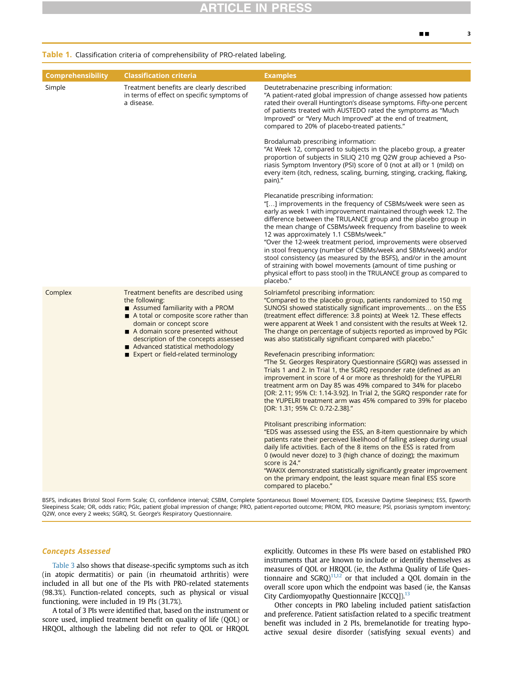#### <span id="page-2-0"></span>Table 1. Classification criteria of comprehensibility of PRO-related labeling.

| <b>Comprehensibility</b> | <b>Classification criteria</b>                                                                                                                                                                                                                                                                                                  | <b>Examples</b>                                                                                                                                                                                                                                                                                                                                                                                                                                                                                                                                                                                                                                                                                                                                                                                                                                                                                                                                                                                                                                                                                                                                                                                                                                                                                                                                                                                                                                                                  |
|--------------------------|---------------------------------------------------------------------------------------------------------------------------------------------------------------------------------------------------------------------------------------------------------------------------------------------------------------------------------|----------------------------------------------------------------------------------------------------------------------------------------------------------------------------------------------------------------------------------------------------------------------------------------------------------------------------------------------------------------------------------------------------------------------------------------------------------------------------------------------------------------------------------------------------------------------------------------------------------------------------------------------------------------------------------------------------------------------------------------------------------------------------------------------------------------------------------------------------------------------------------------------------------------------------------------------------------------------------------------------------------------------------------------------------------------------------------------------------------------------------------------------------------------------------------------------------------------------------------------------------------------------------------------------------------------------------------------------------------------------------------------------------------------------------------------------------------------------------------|
| Simple                   | Treatment benefits are clearly described<br>in terms of effect on specific symptoms of<br>a disease.                                                                                                                                                                                                                            | Deutetrabenazine prescribing information:<br>"A patient-rated global impression of change assessed how patients<br>rated their overall Huntington's disease symptoms. Fifty-one percent<br>of patients treated with AUSTEDO rated the symptoms as "Much<br>Improved" or "Very Much Improved" at the end of treatment,<br>compared to 20% of placebo-treated patients."<br>Brodalumab prescribing information:<br>"At Week 12, compared to subjects in the placebo group, a greater<br>proportion of subjects in SILIQ 210 mg Q2W group achieved a Pso-<br>riasis Symptom Inventory (PSI) score of 0 (not at all) or 1 (mild) on<br>every item (itch, redness, scaling, burning, stinging, cracking, flaking,<br>pain)."<br>Plecanatide prescribing information:<br>"[] improvements in the frequency of CSBMs/week were seen as<br>early as week 1 with improvement maintained through week 12. The<br>difference between the TRULANCE group and the placebo group in<br>the mean change of CSBMs/week frequency from baseline to week<br>12 was approximately 1.1 CSBMs/week."<br>"Over the 12-week treatment period, improvements were observed<br>in stool frequency (number of CSBMs/week and SBMs/week) and/or<br>stool consistency (as measured by the BSFS), and/or in the amount<br>of straining with bowel movements (amount of time pushing or<br>physical effort to pass stool) in the TRULANCE group as compared to<br>placebo."                                     |
| Complex                  | Treatment benefits are described using<br>the following:<br>■ Assumed familiarity with a PROM<br>A total or composite score rather than<br>domain or concept score<br>■ A domain score presented without<br>description of the concepts assessed<br>■ Advanced statistical methodology<br>■ Expert or field-related terminology | Solriamfetol prescribing information:<br>"Compared to the placebo group, patients randomized to 150 mg<br>SUNOSI showed statistically significant improvements on the ESS<br>(treatment effect difference: 3.8 points) at Week 12. These effects<br>were apparent at Week 1 and consistent with the results at Week 12.<br>The change on percentage of subjects reported as improved by PGIC<br>was also statistically significant compared with placebo."<br>Revefenacin prescribing information:<br>"The St. Georges Respiratory Questionnaire (SGRQ) was assessed in<br>Trials 1 and 2. In Trial 1, the SGRQ responder rate (defined as an<br>improvement in score of 4 or more as threshold) for the YUPELRI<br>treatment arm on Day 85 was 49% compared to 34% for placebo<br>[OR: 2.11; 95% CI: 1.14-3.92]. In Trial 2, the SGRQ responder rate for<br>the YUPELRI treatment arm was 45% compared to 39% for placebo<br>[OR: 1.31; 95% CI: 0.72-2.38]."<br>Pitolisant prescribing information:<br>"EDS was assessed using the ESS, an 8-item questionnaire by which<br>patients rate their perceived likelihood of falling asleep during usual<br>daily life activities. Each of the 8 items on the ESS is rated from<br>0 (would never doze) to 3 (high chance of dozing); the maximum<br>score is 24."<br>"WAKIX demonstrated statistically significantly greater improvement<br>on the primary endpoint, the least square mean final ESS score<br>compared to placebo." |

BSFS, indicates Bristol Stool Form Scale; CI, confidence interval; CSBM, Complete Spontaneous Bowel Movement; EDS, Excessive Daytime Sleepiness; ESS, Epworth Sleepiness Scale; OR, odds ratio; PGIc, patient global impression of change; PRO, patient-reported outcome; PROM, PRO measure; PSI, psoriasis symptom inventory; Q2W, once every 2 weeks; SGRQ, St. George's Respiratory Questionnaire.

#### Concepts Assessed

[Table 3](#page-4-0) also shows that disease-specific symptoms such as itch (in atopic dermatitis) or pain (in rheumatoid arthritis) were included in all but one of the PIs with PRO-related statements (98.3%). Function-related concepts, such as physical or visual functioning, were included in 19 PIs (31.7%).

A total of 3 PIs were identified that, based on the instrument or score used, implied treatment benefit on quality of life (QOL) or HRQOL, although the labeling did not refer to QOL or HRQOL explicitly. Outcomes in these PIs were based on established PRO instruments that are known to include or identify themselves as measures of QOL or HRQOL (ie, the Asthma Quality of Life Questionnaire and  $SGRQ)^{11,12}$  $SGRQ)^{11,12}$  $SGRQ)^{11,12}$  $SGRQ)^{11,12}$  or that included a QOL domain in the overall score upon which the endpoint was based (ie, the Kansas City Cardiomyopathy Questionnaire [KCCQ]).<sup>[13](#page-7-12)</sup>

Other concepts in PRO labeling included patient satisfaction and preference. Patient satisfaction related to a specific treatment benefit was included in 2 PIs, bremelanotide for treating hypoactive sexual desire disorder (satisfying sexual events) and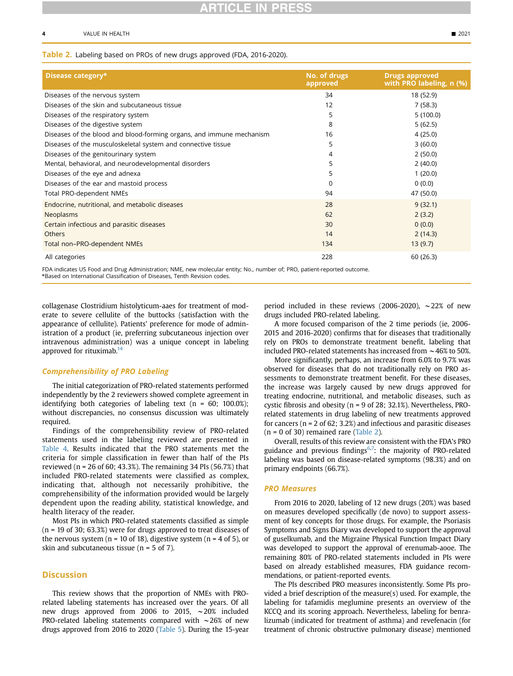#### <span id="page-3-0"></span>Table 2. Labeling based on PROs of new drugs approved (FDA, 2016-2020).

| Disease category*                                                    | No. of drugs<br>approved | <b>Drugs approved</b><br>with PRO labeling, n (%) |
|----------------------------------------------------------------------|--------------------------|---------------------------------------------------|
| Diseases of the nervous system                                       | 34                       | 18 (52.9)                                         |
| Diseases of the skin and subcutaneous tissue                         | 12                       | 7(58.3)                                           |
| Diseases of the respiratory system                                   | 5                        | 5(100.0)                                          |
| Diseases of the digestive system                                     | 8                        | 5(62.5)                                           |
| Diseases of the blood and blood-forming organs, and immune mechanism | 16                       | 4(25.0)                                           |
| Diseases of the musculoskeletal system and connective tissue         | 5                        | 3(60.0)                                           |
| Diseases of the genitourinary system                                 | 4                        | 2(50.0)                                           |
| Mental, behavioral, and neurodevelopmental disorders                 | 5                        | 2(40.0)                                           |
| Diseases of the eye and adnexa                                       | 5                        | 1(20.0)                                           |
| Diseases of the ear and mastoid process                              | 0                        | 0(0.0)                                            |
| Total PRO-dependent NMEs                                             | 94                       | 47 (50.0)                                         |
| Endocrine, nutritional, and metabolic diseases                       | 28                       | 9(32.1)                                           |
| Neoplasms                                                            | 62                       | 2(3.2)                                            |
| Certain infectious and parasitic diseases                            | 30                       | 0(0.0)                                            |
| <b>Others</b>                                                        | 14                       | 2(14.3)                                           |
| Total non-PRO-dependent NMEs                                         | 134                      | 13(9.7)                                           |
| All categories                                                       | 228                      | 60(26.3)                                          |

<span id="page-3-1"></span>FDA indicates US Food and Drug Administration; NME, new molecular entity; No., number of; PRO, patient-reported outcome. \*Based on International Classification of Diseases, Tenth Revision codes.

collagenase Clostridium histolyticum-aaes for treatment of moderate to severe cellulite of the buttocks (satisfaction with the appearance of cellulite). Patients' preference for mode of administration of a product (ie, preferring subcutaneous injection over intravenous administration) was a unique concept in labeling approved for rituximab.<sup>14</sup>

#### Comprehensibility of PRO Labeling

The initial categorization of PRO-related statements performed independently by the 2 reviewers showed complete agreement in identifying both categories of labeling text ( $n = 60$ ; 100.0%); without discrepancies, no consensus discussion was ultimately required.

Findings of the comprehensibility review of PRO-related statements used in the labeling reviewed are presented in [Table 4.](#page-5-0) Results indicated that the PRO statements met the criteria for simple classification in fewer than half of the PIs reviewed ( $n = 26$  of 60; 43.3%). The remaining 34 PIs (56.7%) that included PRO-related statements were classified as complex, indicating that, although not necessarily prohibitive, the comprehensibility of the information provided would be largely dependent upon the reading ability, statistical knowledge, and health literacy of the reader.

Most PIs in which PRO-related statements classified as simple (n = 19 of 30; 63.3%) were for drugs approved to treat diseases of the nervous system ( $n = 10$  of 18), digestive system ( $n = 4$  of 5), or skin and subcutaneous tissue ( $n = 5$  of 7).

#### **Discussion**

This review shows that the proportion of NMEs with PROrelated labeling statements has increased over the years. Of all new drugs approved from 2006 to 2015,  $\sim$  20% included PRO-related labeling statements compared with  $\sim$ 26% of new drugs approved from 2016 to 2020 ([Table 5](#page-5-1)). During the 15-year period included in these reviews (2006-2020),  $\sim$  22% of new drugs included PRO-related labeling.

A more focused comparison of the 2 time periods (ie, 2006- 2015 and 2016-2020) confirms that for diseases that traditionally rely on PROs to demonstrate treatment benefit, labeling that included PRO-related statements has increased from  $\sim$  46% to 50%.

More significantly, perhaps, an increase from 6.0% to 9.7% was observed for diseases that do not traditionally rely on PRO assessments to demonstrate treatment benefit. For these diseases, the increase was largely caused by new drugs approved for treating endocrine, nutritional, and metabolic diseases, such as cystic fibrosis and obesity (n = 9 of 28; 32.1%). Nevertheless, PROrelated statements in drug labeling of new treatments approved for cancers ( $n = 2$  of 62; 3.2%) and infectious and parasitic diseases  $(n = 0 \text{ of } 30)$  remained rare ([Table 2](#page-3-0)).

Overall, results of this review are consistent with the FDA's PRO guidance and previous findings<sup>6,[7](#page-7-6)</sup>: the majority of PRO-related labeling was based on disease-related symptoms (98.3%) and on primary endpoints (66.7%).

#### PRO Measures

From 2016 to 2020, labeling of 12 new drugs (20%) was based on measures developed specifically (de novo) to support assessment of key concepts for those drugs. For example, the Psoriasis Symptoms and Signs Diary was developed to support the approval of guselkumab, and the Migraine Physical Function Impact Diary was developed to support the approval of erenumab-aooe. The remaining 80% of PRO-related statements included in PIs were based on already established measures, FDA guidance recommendations, or patient-reported events.

The PIs described PRO measures inconsistently. Some PIs provided a brief description of the measure(s) used. For example, the labeling for tafamidis meglumine presents an overview of the KCCQ and its scoring approach. Nevertheless, labeling for benralizumab (indicated for treatment of asthma) and revefenacin (for treatment of chronic obstructive pulmonary disease) mentioned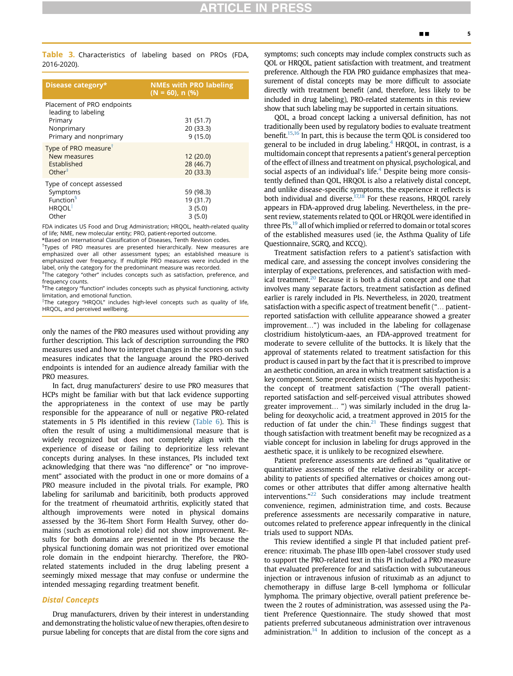<span id="page-4-0"></span>Table 3. Characteristics of labeling based on PROs (FDA, 2016-2020).

| Disease category*                                                                                    | <b>NMEs with PRO labeling</b><br>$(N = 60)$ , n $(\% )$ |
|------------------------------------------------------------------------------------------------------|---------------------------------------------------------|
| Placement of PRO endpoints<br>leading to labeling<br>Primary<br>Nonprimary<br>Primary and nonprimary | 31(51.7)<br>20 (33.3)<br>9(15.0)                        |
| Type of PRO measure <sup>T</sup><br><b>New measures</b><br>Established<br>Other $‡$                  | 12(20.0)<br>28 (46.7)<br>20(33.3)                       |
| Type of concept assessed<br>Symptoms<br>Function <sup>5</sup><br><b>HRQOL</b><br>Other               | 59 (98.3)<br>19 (31.7)<br>3(5.0)<br>3(5.0)              |

FDA indicates US Food and Drug Administration; HRQOL, health-related quality of life; NME, new molecular entity; PRO, patient-reported outcome.

<span id="page-4-2"></span><span id="page-4-1"></span>\*Based on International Classification of Diseases, Tenth Revision codes. † <sup>†</sup>Types of PRO measures are presented hierarchically. New measures are

emphasized over all other assessment types; an established measure is emphasized over frequency. If multiple PRO measures were included in the label, only the category for the predominant measure was recorded. ‡ The category "other" includes concepts such as satisfaction, preference, and

<span id="page-4-3"></span>frequency counts.

<span id="page-4-4"></span> $^{\mathbb{S}}$ The category "function" includes concepts such as physical functioning, activity limitation, and emotional function.

k The category "HRQOL" includes high-level concepts such as quality of life, HRQOL, and perceived wellbeing.

only the names of the PRO measures used without providing any further description. This lack of description surrounding the PRO measures used and how to interpret changes in the scores on such measures indicates that the language around the PRO-derived endpoints is intended for an audience already familiar with the PRO measures.

In fact, drug manufacturers' desire to use PRO measures that HCPs might be familiar with but that lack evidence supporting the appropriateness in the context of use may be partly responsible for the appearance of null or negative PRO-related statements in 5 PIs identified in this review ([Table 6](#page-6-0)). This is often the result of using a multidimensional measure that is widely recognized but does not completely align with the experience of disease or failing to deprioritize less relevant concepts during analyses. In these instances, PIs included text acknowledging that there was "no difference" or "no improvement" associated with the product in one or more domains of a PRO measure included in the pivotal trials. For example, PRO labeling for sarilumab and baricitinib, both products approved for the treatment of rheumatoid arthritis, explicitly stated that although improvements were noted in physical domains assessed by the 36-Item Short Form Health Survey, other domains (such as emotional role) did not show improvement. Results for both domains are presented in the PIs because the physical functioning domain was not prioritized over emotional role domain in the endpoint hierarchy. Therefore, the PROrelated statements included in the drug labeling present a seemingly mixed message that may confuse or undermine the intended messaging regarding treatment benefit.

#### Distal Concepts

Drug manufacturers, driven by their interest in understanding and demonstrating the holistic value of new therapies, often desire to pursue labeling for concepts that are distal from the core signs and

symptoms; such concepts may include complex constructs such as QOL or HRQOL, patient satisfaction with treatment, and treatment preference. Although the FDA PRO guidance emphasizes that measurement of distal concepts may be more difficult to associate directly with treatment benefit (and, therefore, less likely to be included in drug labeling), PRO-related statements in this review show that such labeling may be supported in certain situations.

QOL, a broad concept lacking a universal definition, has not traditionally been used by regulatory bodies to evaluate treatment benefit[.15](#page-7-14)[,16](#page-7-15) In part, this is because the term QOL is considered too general to be included in drug labeling. $4$  HRQOL, in contrast, is a multidomain concept that represents a patient's general perception of the effect of illness and treatment on physical, psychological, and social aspects of an individual's life. $4$  Despite being more consistently defined than QOL, HRQOL is also a relatively distal concept, and unlike disease-specific symptoms, the experience it reflects is both individual and diverse. $17,18$  $17,18$  For these reasons, HRQOL rarely appears in FDA-approved drug labeling. Nevertheless, in the present review, statements related to QOL or HRQOL were identified in three PIs,<sup>[19](#page-8-1)</sup> all of which implied or referred to domain or total scores of the established measures used (ie, the Asthma Quality of Life Questionnaire, SGRQ, and KCCQ).

Treatment satisfaction refers to a patient's satisfaction with medical care, and assessing the concept involves considering the interplay of expectations, preferences, and satisfaction with medical treatment. $20$  Because it is both a distal concept and one that involves many separate factors, treatment satisfaction as defined earlier is rarely included in PIs. Nevertheless, in 2020, treatment satisfaction with a specific aspect of treatment benefit ("... patientreported satisfaction with cellulite appearance showed a greater improvement...") was included in the labeling for collagenase clostridium histolyticum-aaes, an FDA-approved treatment for moderate to severe cellulite of the buttocks. It is likely that the approval of statements related to treatment satisfaction for this product is caused in part by the fact that it is prescribed to improve an aesthetic condition, an area in which treatment satisfaction is a key component. Some precedent exists to support this hypothesis: the concept of treatment satisfaction ("The overall patientreported satisfaction and self-perceived visual attributes showed greater improvement... ") was similarly included in the drug labeling for deoxycholic acid, a treatment approved in 2015 for the reduction of fat under the chin. $21$  These findings suggest that though satisfaction with treatment benefit may be recognized as a viable concept for inclusion in labeling for drugs approved in the aesthetic space, it is unlikely to be recognized elsewhere.

Patient preference assessments are defined as "qualitative or quantitative assessments of the relative desirability or acceptability to patients of specified alternatives or choices among outcomes or other attributes that differ among alternative health interventions." [22](#page-8-4) Such considerations may include treatment convenience, regimen, administration time, and costs. Because preference assessments are necessarily comparative in nature, outcomes related to preference appear infrequently in the clinical trials used to support NDAs.

This review identified a single PI that included patient preference: rituximab. The phase IIIb open-label crossover study used to support the PRO-related text in this PI included a PRO measure that evaluated preference for and satisfaction with subcutaneous injection or intravenous infusion of rituximab as an adjunct to chemotherapy in diffuse large B-cell lymphoma or follicular lymphoma. The primary objective, overall patient preference between the 2 routes of administration, was assessed using the Patient Preference Questionnaire. The study showed that most patients preferred subcutaneous administration over intravenous administration. $14$  In addition to inclusion of the concept as a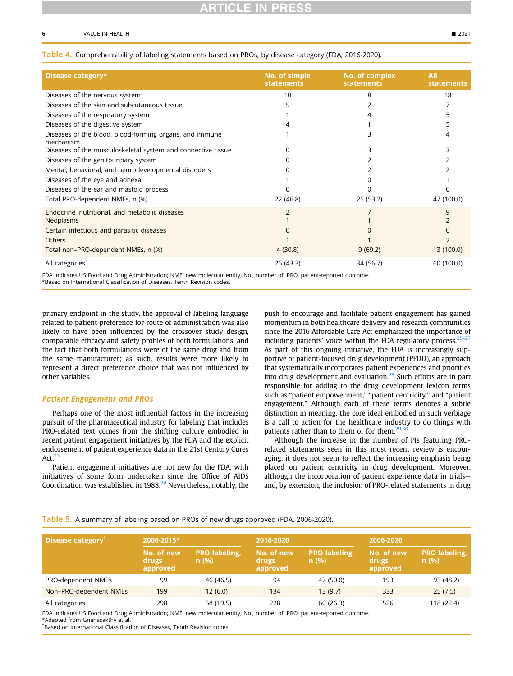#### <span id="page-5-0"></span>Table 4. Comprehensibility of labeling statements based on PROs, by disease category (FDA, 2016-2020).

| Disease category*                                                    | No. of simple<br><b>statements</b> | No. of complex<br><b>statements</b> | All<br><b>statements</b> |
|----------------------------------------------------------------------|------------------------------------|-------------------------------------|--------------------------|
| Diseases of the nervous system                                       | 10                                 | 8                                   | 18                       |
| Diseases of the skin and subcutaneous tissue                         |                                    |                                     |                          |
| Diseases of the respiratory system                                   |                                    |                                     |                          |
| Diseases of the digestive system                                     |                                    |                                     |                          |
| Diseases of the blood, blood-forming organs, and immune<br>mechanism |                                    | 3                                   |                          |
| Diseases of the musculoskeletal system and connective tissue         | 0                                  |                                     |                          |
| Diseases of the genitourinary system                                 |                                    |                                     |                          |
| Mental, behavioral, and neurodevelopmental disorders                 |                                    |                                     |                          |
| Diseases of the eye and adnexa                                       |                                    |                                     |                          |
| Diseases of the ear and mastoid process                              |                                    |                                     |                          |
| Total PRO-dependent NMEs, n (%)                                      | 22 (46.8)                          | 25 (53.2)                           | 47 (100.0)               |
| Endocrine, nutritional, and metabolic diseases<br><b>Neoplasms</b>   | $\overline{2}$                     |                                     | 9                        |
| Certain infectious and parasitic diseases                            | <sup>0</sup>                       |                                     |                          |
| <b>Others</b>                                                        |                                    |                                     |                          |
| Total non-PRO-dependent NMEs, n (%)                                  | 4(30.8)                            | 9(69.2)                             | 13 (100.0)               |
| All categories                                                       | 26 (43.3)                          | 34 (56.7)                           | 60 (100.0)               |

<span id="page-5-4"></span>FDA indicates US Food and Drug Administration; NME, new molecular entity; No., number of; PRO, patient-reported outcome. \*Based on International Classification of Diseases, Tenth Revision codes.

primary endpoint in the study, the approval of labeling language related to patient preference for route of administration was also likely to have been influenced by the crossover study design, comparable efficacy and safety profiles of both formulations, and the fact that both formulations were of the same drug and from the same manufacturer; as such, results were more likely to represent a direct preference choice that was not influenced by other variables.

### Patient Engagement and PROs

Perhaps one of the most influential factors in the increasing pursuit of the pharmaceutical industry for labeling that includes PRO-related text comes from the shifting culture embodied in recent patient engagement initiatives by the FDA and the explicit endorsement of patient experience data in the 21st Century Cures Act. $^{23}$ 

Patient engagement initiatives are not new for the FDA, with initiatives of some form undertaken since the Office of AIDS Coordination was established in 1988.<sup>[24](#page-8-6)</sup> Nevertheless, notably, the push to encourage and facilitate patient engagement has gained momentum in both healthcare delivery and research communities since the 2016 Affordable Care Act emphasized the importance of including patients' voice within the FDA regulatory process. $25-27$ As part of this ongoing initiative, the FDA is increasingly supportive of patient-focused drug development (PFDD), an approach that systematically incorporates patient experiences and priorities into drug development and evaluation.[28](#page-8-8) Such efforts are in part responsible for adding to the drug development lexicon terms such as "patient empowerment," "patient centricity," and "patient engagement." Although each of these terms denotes a subtle distinction in meaning, the core ideal embodied in such verbiage is a call to action for the healthcare industry to do things with patients rather than to them or for them. $29,30$  $29,30$  $29,30$ 

Although the increase in the number of PIs featuring PROrelated statements seen in this most recent review is encouraging, it does not seem to reflect the increasing emphasis being placed on patient centricity in drug development. Moreover, although the incorporation of patient experience data in trials and, by extension, the inclusion of PRO-related statements in drug

#### <span id="page-5-1"></span>Table 5. A summary of labeling based on PROs of new drugs approved (FDA, 2006-2020).

| Disease category <sup>T</sup> | 2006-2015*                      |                              | 2016-2020                       |                                 | 2006-2020                       |                              |
|-------------------------------|---------------------------------|------------------------------|---------------------------------|---------------------------------|---------------------------------|------------------------------|
|                               | No. of new<br>drugs<br>approved | <b>PRO labeling,</b><br>n(%) | No. of new<br>drugs<br>approved | <b>PRO labeling,</b><br>$n$ (%) | No. of new<br>drugs<br>approved | <b>PRO labeling,</b><br>n(%) |
| PRO-dependent NMEs            | 99                              | 46 (46.5)                    | 94                              | 47 (50.0)                       | 193                             | 93 (48.2)                    |
| Non-PRO-dependent NMEs        | 199                             | 12(6.0)                      | 134                             | 13(9.7)                         | 333                             | 25(7.5)                      |
| All categories                | 298                             | 58 (19.5)                    | 228                             | 60(26.3)                        | 526                             | 118 (22.4)                   |

<span id="page-5-3"></span>FDA indicates US Food and Drug Administration; NME, new molecular entity; No., number of; PRO, patient-reported outcome. \*Adapted from Gnanasakthy et al.[7](#page-7-6)

<span id="page-5-2"></span>† Based on International Classification of Diseases, Tenth Revision codes.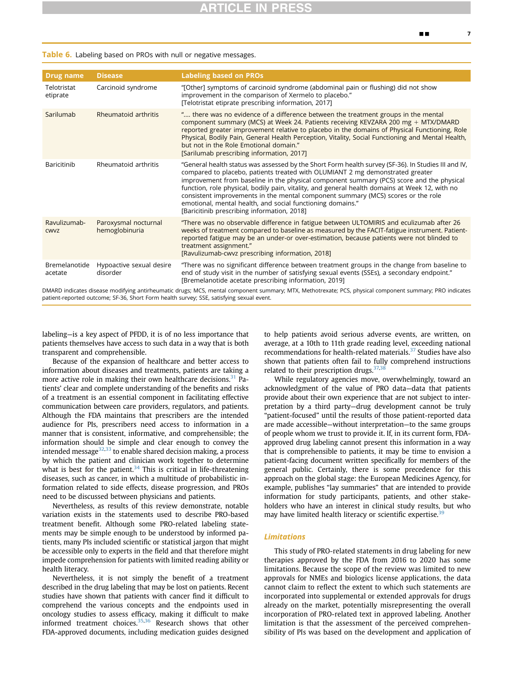#### <span id="page-6-0"></span>Table 6. Labeling based on PROs with null or negative messages.

| Drug name                | <b>Disease</b>                         | <b>Labeling based on PROs</b>                                                                                                                                                                                                                                                                                                                                                                                                                                                                                                                                                       |
|--------------------------|----------------------------------------|-------------------------------------------------------------------------------------------------------------------------------------------------------------------------------------------------------------------------------------------------------------------------------------------------------------------------------------------------------------------------------------------------------------------------------------------------------------------------------------------------------------------------------------------------------------------------------------|
| Telotristat<br>etiprate  | Carcinoid syndrome                     | "[Other] symptoms of carcinoid syndrome (abdominal pain or flushing) did not show<br>improvement in the comparison of Xermelo to placebo."<br>[Telotristat etiprate prescribing information, 2017]                                                                                                                                                                                                                                                                                                                                                                                  |
| Sarilumab                | Rheumatoid arthritis                   | " there was no evidence of a difference between the treatment groups in the mental<br>component summary (MCS) at Week 24. Patients receiving KEVZARA 200 mg $+$ MTX/DMARD<br>reported greater improvement relative to placebo in the domains of Physical Functioning, Role<br>Physical, Bodily Pain, General Health Perception, Vitality, Social Functioning and Mental Health,<br>but not in the Role Emotional domain."<br>[Sarilumab prescribing information, 2017]                                                                                                              |
| Baricitinib              | Rheumatoid arthritis                   | "General health status was assessed by the Short Form health survey (SF-36). In Studies III and IV,<br>compared to placebo, patients treated with OLUMIANT 2 mg demonstrated greater<br>improvement from baseline in the physical component summary (PCS) score and the physical<br>function, role physical, bodily pain, vitality, and general health domains at Week 12, with no<br>consistent improvements in the mental component summary (MCS) scores or the role<br>emotional, mental health, and social functioning domains."<br>[Baricitinib prescribing information, 2018] |
| Ravulizumab-<br>CWVZ     | Paroxysmal nocturnal<br>hemoglobinuria | 'There was no observable difference in fatigue between ULTOMIRIS and eculizumab after 26<br>weeks of treatment compared to baseline as measured by the FACIT-fatigue instrument. Patient-<br>reported fatigue may be an under-or over-estimation, because patients were not blinded to<br>treatment assignment."<br>[Ravulizumab-cwvz prescribing information, 2018]                                                                                                                                                                                                                |
| Bremelanotide<br>acetate | Hypoactive sexual desire<br>disorder   | "There was no significant difference between treatment groups in the change from baseline to<br>end of study visit in the number of satisfying sexual events (SSEs), a secondary endpoint."<br>[Bremelanotide acetate prescribing information, 2019]                                                                                                                                                                                                                                                                                                                                |

DMARD indicates disease modifying antirheumatic drugs; MCS, mental component summary; MTX, Methotrexate; PCS, physical component summary; PRO indicates patient-reported outcome; SF-36, Short Form health survey; SSE, satisfying sexual event.

labeling—is a key aspect of PFDD, it is of no less importance that patients themselves have access to such data in a way that is both transparent and comprehensible.

Because of the expansion of healthcare and better access to information about diseases and treatments, patients are taking a more active role in making their own healthcare decisions. $31$  Patients' clear and complete understanding of the benefits and risks of a treatment is an essential component in facilitating effective communication between care providers, regulators, and patients. Although the FDA maintains that prescribers are the intended audience for PIs, prescribers need access to information in a manner that is consistent, informative, and comprehensible; the information should be simple and clear enough to convey the intended message $32,33$  $32,33$  to enable shared decision making, a process by which the patient and clinician work together to determine what is best for the patient. $34$  This is critical in life-threatening diseases, such as cancer, in which a multitude of probabilistic information related to side effects, disease progression, and PROs need to be discussed between physicians and patients.

Nevertheless, as results of this review demonstrate, notable variation exists in the statements used to describe PRO-based treatment benefit. Although some PRO-related labeling statements may be simple enough to be understood by informed patients, many PIs included scientific or statistical jargon that might be accessible only to experts in the field and that therefore might impede comprehension for patients with limited reading ability or health literacy.

Nevertheless, it is not simply the benefit of a treatment described in the drug labeling that may be lost on patients. Recent studies have shown that patients with cancer find it difficult to comprehend the various concepts and the endpoints used in oncology studies to assess efficacy, making it difficult to make informed treatment choices. $35,36$  $35,36$  Research shows that other FDA-approved documents, including medication guides designed

to help patients avoid serious adverse events, are written, on average, at a 10th to 11th grade reading level, exceeding national recommendations for health-related materials.<sup>[37](#page-8-17)</sup> Studies have also shown that patients often fail to fully comprehend instructions related to their prescription drugs. $37,38$  $37,38$ 

While regulatory agencies move, overwhelmingly, toward an acknowledgment of the value of PRO data—data that patients provide about their own experience that are not subject to interpretation by a third party—drug development cannot be truly "patient-focused" until the results of those patient-reported data are made accessible—without interpretation—to the same groups of people whom we trust to provide it. If, in its current form, FDAapproved drug labeling cannot present this information in a way that is comprehensible to patients, it may be time to envision a patient-facing document written specifically for members of the general public. Certainly, there is some precedence for this approach on the global stage: the European Medicines Agency, for example, publishes "lay summaries" that are intended to provide information for study participants, patients, and other stakeholders who have an interest in clinical study results, but who may have limited health literacy or scientific expertise.<sup>[39](#page-8-19)</sup>

#### Limitations

This study of PRO-related statements in drug labeling for new therapies approved by the FDA from 2016 to 2020 has some limitations. Because the scope of the review was limited to new approvals for NMEs and biologics license applications, the data cannot claim to reflect the extent to which such statements are incorporated into supplemental or extended approvals for drugs already on the market, potentially misrepresenting the overall incorporation of PRO-related text in approved labeling. Another limitation is that the assessment of the perceived comprehensibility of PIs was based on the development and application of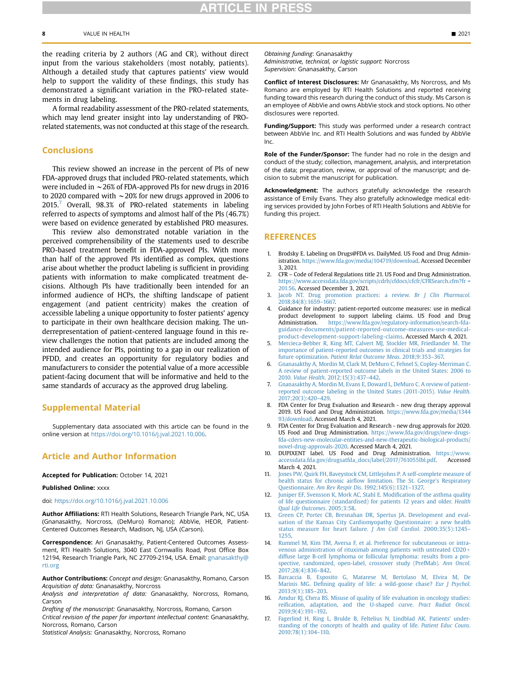the reading criteria by 2 authors (AG and CR), without direct input from the various stakeholders (most notably, patients). Although a detailed study that captures patients' view would help to support the validity of these findings, this study has demonstrated a significant variation in the PRO-related statements in drug labeling.

A formal readability assessment of the PRO-related statements, which may lend greater insight into lay understanding of PROrelated statements, was not conducted at this stage of the research.

### Conclusions

This review showed an increase in the percent of PIs of new FDA-approved drugs that included PRO-related statements, which were included in  $\sim$  26% of FDA-approved PIs for new drugs in 2016 to 2020 compared with  $\sim$  20% for new drugs approved in 2006 to 2015.<sup>7</sup> Overall, 98.3% of PRO-related statements in labeling referred to aspects of symptoms and almost half of the PIs (46.7%) were based on evidence generated by established PRO measures.

This review also demonstrated notable variation in the perceived comprehensibility of the statements used to describe PRO-based treatment benefit in FDA-approved PIs. With more than half of the approved PIs identified as complex, questions arise about whether the product labeling is sufficient in providing patients with information to make complicated treatment decisions. Although PIs have traditionally been intended for an informed audience of HCPs, the shifting landscape of patient engagement (and patient centricity) makes the creation of accessible labeling a unique opportunity to foster patients' agency to participate in their own healthcare decision making. The underrepresentation of patient-centered language found in this review challenges the notion that patients are included among the intended audience for PIs, pointing to a gap in our realization of PFDD, and creates an opportunity for regulatory bodies and manufacturers to consider the potential value of a more accessible patient-facing document that will be informative and held to the same standards of accuracy as the approved drug labeling.

### Supplemental Material

Supplementary data associated with this article can be found in the online version at <https://doi.org/10.1016/j.jval.2021.10.006>.

# Article and Author Information

Accepted for Publication: October 14, 2021

#### Published Online: xxxx

doi: [https://doi.org/10.1016/j.jval.2021.10.006](http://doi.org/https://doi.org/10.1016/j.jval.2021.10.006)

Author Affiliations: RTI Health Solutions, Research Triangle Park, NC, USA (Gnanasakthy, Norcross, (DeMuro) Romano); AbbVie, HEOR, Patient-Centered Outcomes Research, Madison, NJ, USA (Carson).

Correspondence: Ari Gnanasakthy, Patient-Centered Outcomes Assessment, RTI Health Solutions, 3040 East Cornwallis Road, Post Office Box 12194, Research Triangle Park, NC 27709-2194, USA. Email: [gnanasakthy@](mailto:gnanasakthy@rti.org) [rti.org](mailto:gnanasakthy@rti.org)

Author Contributions: Concept and design: Gnanasakthy, Romano, Carson Acquisition of data: Gnanasakthy, Norcross

Analysis and interpretation of data: Gnanasakthy, Norcross, Romano, Carson

Drafting of the manuscript: Gnanasakthy, Norcross, Romano, Carson Critical revision of the paper for important intellectual content: Gnanasakthy, Norcross, Romano, Carson

Statistical Analysis: Gnanasakthy, Norcross, Romano

Obtaining funding: Gnanasakthy Administrative, technical, or logistic support: Norcross

Supervision: Gnanasakthy, Carson Conflict of Interest Disclosures: Mr Gnanasakthy, Ms Norcross, and Ms Romano are employed by RTI Health Solutions and reported receiving funding toward this research during the conduct of this study. Ms Carson is

an employee of AbbVie and owns AbbVie stock and stock options. No other disclosures were reported.

Funding/Support: This study was performed under a research contract between AbbVie Inc. and RTI Health Solutions and was funded by AbbVie Inc.

Role of the Funder/Sponsor: The funder had no role in the design and conduct of the study; collection, management, analysis, and interpretation of the data; preparation, review, or approval of the manuscript; and decision to submit the manuscript for publication.

Acknowledgment: The authors gratefully acknowledge the research assistance of Emily Evans. They also gratefully acknowledge medical editing services provided by John Forbes of RTI Health Solutions and AbbVie for funding this project.

#### **REFERENCES**

- <span id="page-7-0"></span>1. Brodsky E. Labeling on Drugs@FDA vs. DailyMed. US Food and Drug Administration. <https://www.fda.gov/media/104719/download>. Accessed December 3, 2021.
- <span id="page-7-1"></span>2. CFR – Code of Federal Regulations title 21. US Food and Drug Administration. [https://www.accessdata.fda.gov/scripts/cdrh/cfdocs/cfcfr/CFRSearch.cfm?fr =](https://www.accessdata.fda.gov/scripts/cdrh/cfdocs/cfcfr/CFRSearch.cfm?fr%20=%20201.56) [201.56](https://www.accessdata.fda.gov/scripts/cdrh/cfdocs/cfcfr/CFRSearch.cfm?fr%20=%20201.56). Accessed December 3, 2021.
- <span id="page-7-2"></span>[Jacob NT. Drug promotion practices: a review.](http://refhub.elsevier.com/S1098-3015(21)01793-9/sref3) Br J Clin Pharmacol. [2018;84\(8\):1659](http://refhub.elsevier.com/S1098-3015(21)01793-9/sref3)–1667.
- <span id="page-7-3"></span>4. Guidance for industry: patient-reported outcome measures: use in medical product development to support labeling claims. US Food and Drug Administration. [https://www.fda.gov/regulatory-information/search-fda](https://www.fda.gov/regulatory-information/search-fda-guidance-documents/patient-reported-outcome-measures-use-medical-product-development-support-labeling-claims)[guidance-documents/patient-reported-outcome-measures-use-medical](https://www.fda.gov/regulatory-information/search-fda-guidance-documents/patient-reported-outcome-measures-use-medical-product-development-support-labeling-claims)[product-development-support-labeling-claims](https://www.fda.gov/regulatory-information/search-fda-guidance-documents/patient-reported-outcome-measures-use-medical-product-development-support-labeling-claims). Accessed March 4, 2021.
- <span id="page-7-4"></span>5. [Mercieca-Bebber R, King MT, Calvert MJ, Stockler MR, Friedlander M. The](http://refhub.elsevier.com/S1098-3015(21)01793-9/sref5) [importance of patient-reported outcomes in clinical trials and strategies for](http://refhub.elsevier.com/S1098-3015(21)01793-9/sref5) future optimization. [Patient Relat Outcome Meas](http://refhub.elsevier.com/S1098-3015(21)01793-9/sref5). 2018;9:353–367.
- <span id="page-7-5"></span>6. [Gnanasakthy A, Mordin M, Clark M, DeMuro C, Fehnel S, Copley-Merriman C.](http://refhub.elsevier.com/S1098-3015(21)01793-9/sref6) [A review of patient-reported outcome labels in the United States: 2006 to](http://refhub.elsevier.com/S1098-3015(21)01793-9/sref6) 2010. Value Health[. 2012;15\(3\):437](http://refhub.elsevier.com/S1098-3015(21)01793-9/sref6)–442.
- <span id="page-7-6"></span>7. [Gnanasakthy A, Mordin M, Evans E, Doward L, DeMuro C. A review of patient](http://refhub.elsevier.com/S1098-3015(21)01793-9/sref7)[reported outcome labeling in the United States \(2011-2015\).](http://refhub.elsevier.com/S1098-3015(21)01793-9/sref7) Value Health. [2017;20\(3\):420](http://refhub.elsevier.com/S1098-3015(21)01793-9/sref7)–429.
- <span id="page-7-7"></span>8. FDA Center for Drug Evaluation and Research - new drug therapy approval 2019. US Food and Drug Administration. [https://www.fda.gov/media/1344](https://www.fda.gov/media/134493/download) [93/download.](https://www.fda.gov/media/134493/download) Accessed March 4, 2021.
- <span id="page-7-8"></span>9. FDA Center for Drug Evaluation and Research - new drug approvals for 2020. US Food and Drug Administration. [https://www.fda.gov/drugs/new-drugs](https://www.fda.gov/drugs/new-drugs-fda-cders-new-molecular-entities-and-new-therapeutic-biological-products/novel-drug-approvals-2020)[fda-cders-new-molecular-entities-and-new-therapeutic-biological-products/](https://www.fda.gov/drugs/new-drugs-fda-cders-new-molecular-entities-and-new-therapeutic-biological-products/novel-drug-approvals-2020) [novel-drug-approvals-2020](https://www.fda.gov/drugs/new-drugs-fda-cders-new-molecular-entities-and-new-therapeutic-biological-products/novel-drug-approvals-2020). Accessed March 4, 2021.
- <span id="page-7-9"></span>10. DUPIXENT label. US Food and Drug Administration. [https://www.](https://www.accessdata.fda.gov/drugsatfda_docs/label/2017/761055lbl.pdf) [accessdata.fda.gov/drugsatfda\\_docs/label/2017/761055lbl.pdf](https://www.accessdata.fda.gov/drugsatfda_docs/label/2017/761055lbl.pdf). Accessed March 4, 2021.
- <span id="page-7-10"></span>11. [Jones PW, Quirk FH, Baveystock CM, Littlejohns P. A self-complete measure of](http://refhub.elsevier.com/S1098-3015(21)01793-9/sref11) health status for chronic airfl[ow limitation. The St. George](http://refhub.elsevier.com/S1098-3015(21)01793-9/sref11)'s Respiratory Questionnaire. Am Rev Respir Dis[. 1992;145\(6\):1321](http://refhub.elsevier.com/S1098-3015(21)01793-9/sref11)–1327.
- <span id="page-7-11"></span>12. [Juniper EF, Svensson K, Mork AC, Stahl E. Modi](http://refhub.elsevier.com/S1098-3015(21)01793-9/sref12)fication of the asthma quality [of life questionnaire \(standardised\) for patients 12 years and older.](http://refhub.elsevier.com/S1098-3015(21)01793-9/sref12) Health [Qual Life Outcomes](http://refhub.elsevier.com/S1098-3015(21)01793-9/sref12). 2005;3:58.
- <span id="page-7-12"></span>13. [Green CP, Porter CB, Bresnahan DR, Spertus JA. Development and eval](http://refhub.elsevier.com/S1098-3015(21)01793-9/sref13)[uation of the Kansas City Cardiomyopathy Questionnaire: a new health](http://refhub.elsevier.com/S1098-3015(21)01793-9/sref13) [status measure for heart failure.](http://refhub.elsevier.com/S1098-3015(21)01793-9/sref13) J Am Coll Cardiol. 2000;35(5):1245– [1255](http://refhub.elsevier.com/S1098-3015(21)01793-9/sref13).
- <span id="page-7-13"></span>14. [Rummel M, Kim TM, Aversa F, et al. Preference for subcutaneous or intra](http://refhub.elsevier.com/S1098-3015(21)01793-9/sref14)venous administration of rituximab among patients with untreated  $CD20+$ [diffuse large B-cell lymphoma or follicular lymphoma: results from a pro](http://refhub.elsevier.com/S1098-3015(21)01793-9/sref14)[spective, randomized, open-label, crossover study \(PrefMab\).](http://refhub.elsevier.com/S1098-3015(21)01793-9/sref14) Ann Oncol. [2017;28\(4\):836](http://refhub.elsevier.com/S1098-3015(21)01793-9/sref14)–842.
- <span id="page-7-14"></span>15. [Barcaccia B, Esposito G, Matarese M, Bertolaso M, Elvira M, De](http://refhub.elsevier.com/S1098-3015(21)01793-9/sref15) Marinis MG. Defi[ning quality of life: a wild-goose chase?](http://refhub.elsevier.com/S1098-3015(21)01793-9/sref15) Eur J Psychol. [2013;9\(1\):185](http://refhub.elsevier.com/S1098-3015(21)01793-9/sref15)–203.
- <span id="page-7-15"></span>16. [Amdur RJ, Chera BS. Misuse of quality of life evaluation in oncology studies:](http://refhub.elsevier.com/S1098-3015(21)01793-9/sref16) reifi[cation, adaptation, and the U-shaped curve.](http://refhub.elsevier.com/S1098-3015(21)01793-9/sref16) Pract Radiat Oncol. [2019;9\(4\):191](http://refhub.elsevier.com/S1098-3015(21)01793-9/sref16)–192.
- <span id="page-7-16"></span>17. [Fagerlind H, Ring L, Brulde B, Feltelius N, Lindblad AK. Patients](http://refhub.elsevier.com/S1098-3015(21)01793-9/sref17)' under[standing of the concepts of health and quality of life.](http://refhub.elsevier.com/S1098-3015(21)01793-9/sref17) Patient Educ Couns. [2010;78\(1\):104](http://refhub.elsevier.com/S1098-3015(21)01793-9/sref17)–110.